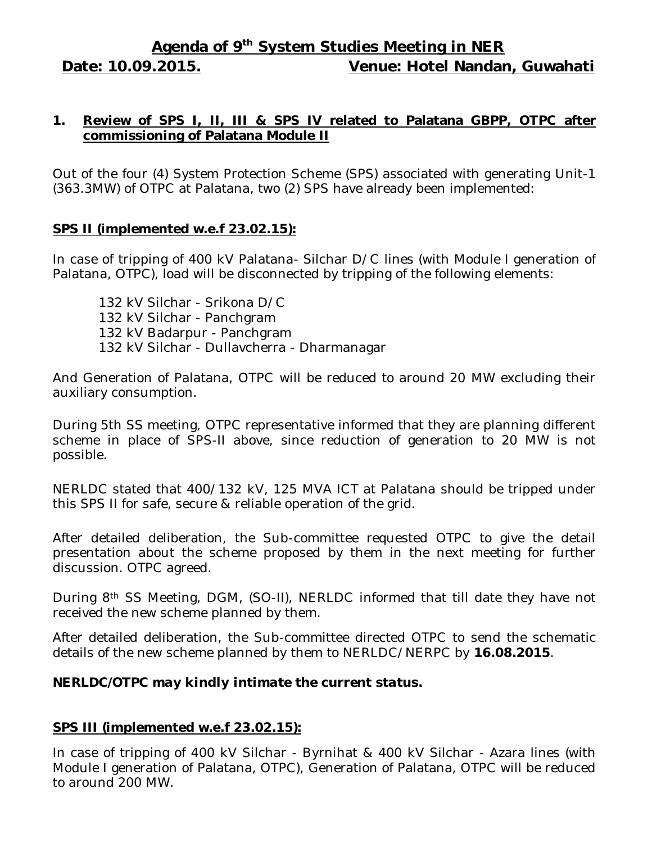# **Agenda of 9 th System Studies Meeting in NER Date: 10.09.2015. Venue: Hotel Nandan, Guwahati**

## **1. Review of SPS I, II, III & SPS IV related to Palatana GBPP, OTPC after commissioning of Palatana Module II**

Out of the four (4) System Protection Scheme (SPS) associated with generating Unit-1 (363.3MW) of OTPC at Palatana, two (2) SPS have already been implemented:

## **SPS II (implemented w.e.f 23.02.15):**

In case of tripping of 400 kV Palatana- Silchar D/C lines (with Module I generation of Palatana, OTPC), load will be disconnected by tripping of the following elements:

132 kV Silchar - Srikona D/C 132 kV Silchar - Panchgram 132 kV Badarpur - Panchgram 132 kV Silchar - Dullavcherra - Dharmanagar

And Generation of Palatana, OTPC will be reduced to around 20 MW excluding their auxiliary consumption.

During 5th SS meeting, OTPC representative informed that they are planning different scheme in place of SPS-II above, since reduction of generation to 20 MW is not possible.

NERLDC stated that 400/132 kV, 125 MVA ICT at Palatana should be tripped under this SPS II for safe, secure & reliable operation of the grid.

After detailed deliberation, the Sub-committee requested OTPC to give the detail presentation about the scheme proposed by them in the next meeting for further discussion. OTPC agreed.

During 8th SS Meeting, DGM, (SO-II), NERLDC informed that till date they have not received the new scheme planned by them.

After detailed deliberation, the Sub-committee directed OTPC to send the schematic details of the new scheme planned by them to NERLDC/NERPC by **16.08.2015**.

#### *NERLDC/OTPC may kindly intimate the current status.*

# **SPS III (implemented w.e.f 23.02.15):**

In case of tripping of 400 kV Silchar - Byrnihat & 400 kV Silchar - Azara lines (with Module I generation of Palatana, OTPC), Generation of Palatana, OTPC will be reduced to around 200 MW.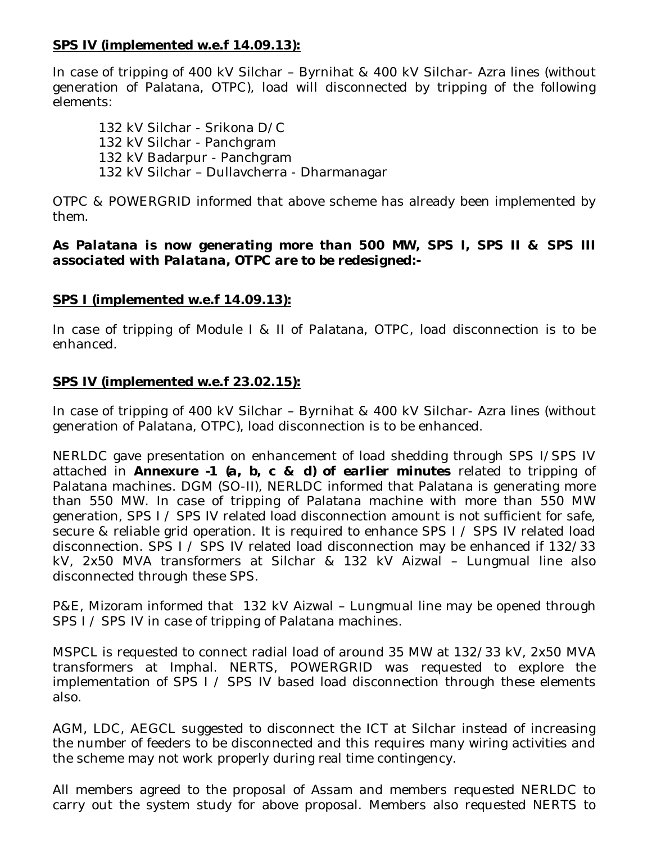#### **SPS IV (implemented w.e.f 14.09.13):**

In case of tripping of 400 kV Silchar – Byrnihat & 400 kV Silchar- Azra lines (without generation of Palatana, OTPC), load will disconnected by tripping of the following elements:

132 kV Silchar - Srikona D/C 132 kV Silchar - Panchgram 132 kV Badarpur - Panchgram 132 kV Silchar – Dullavcherra - Dharmanagar

OTPC & POWERGRID informed that above scheme has already been implemented by them.

#### *As Palatana is now generating more than 500 MW, SPS I, SPS II & SPS III associated with Palatana, OTPC are to be redesigned:-*

# **SPS I (implemented w.e.f 14.09.13):**

In case of tripping of Module I & II of Palatana, OTPC, load disconnection is to be enhanced.

## **SPS IV (implemented w.e.f 23.02.15):**

In case of tripping of 400 kV Silchar – Byrnihat & 400 kV Silchar- Azra lines (without generation of Palatana, OTPC), load disconnection is to be enhanced.

NERLDC gave presentation on enhancement of load shedding through SPS I/SPS IV attached in *Annexure -1 (a, b, c & d) of earlier minutes* related to tripping of Palatana machines. DGM (SO-II), NERLDC informed that Palatana is generating more than 550 MW. In case of tripping of Palatana machine with more than 550 MW generation, SPS I / SPS IV related load disconnection amount is not sufficient for safe, secure & reliable grid operation. It is required to enhance SPS I / SPS IV related load disconnection. SPS I / SPS IV related load disconnection may be enhanced if 132/33 kV, 2x50 MVA transformers at Silchar & 132 kV Aizwal – Lungmual line also disconnected through these SPS.

P&E, Mizoram informed that 132 kV Aizwal – Lungmual line may be opened through SPS I / SPS IV in case of tripping of Palatana machines.

MSPCL is requested to connect radial load of around 35 MW at 132/33 kV, 2x50 MVA transformers at Imphal. NERTS, POWERGRID was requested to explore the implementation of SPS I / SPS IV based load disconnection through these elements also.

AGM, LDC, AEGCL suggested to disconnect the ICT at Silchar instead of increasing the number of feeders to be disconnected and this requires many wiring activities and the scheme may not work properly during real time contingency.

All members agreed to the proposal of Assam and members requested NERLDC to carry out the system study for above proposal. Members also requested NERTS to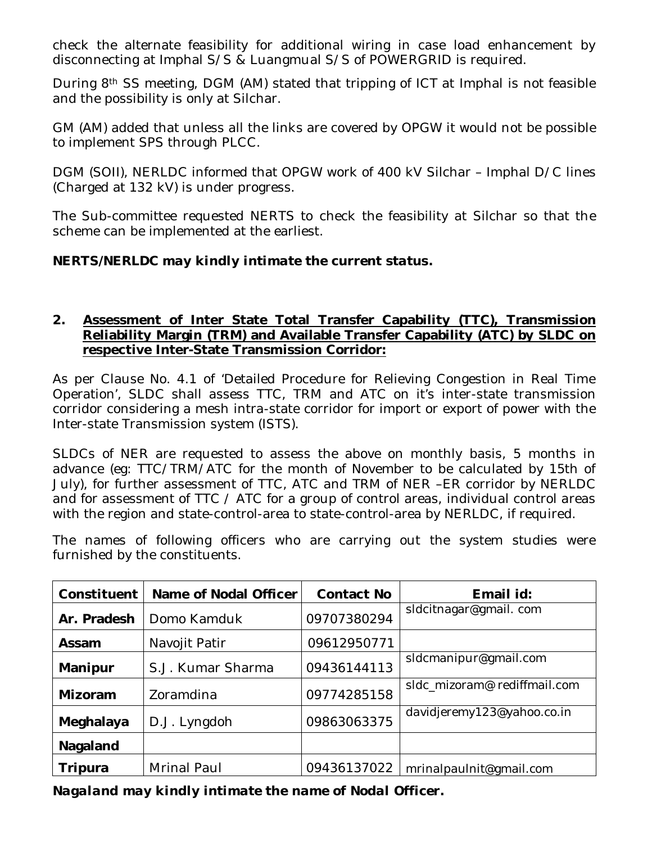check the alternate feasibility for additional wiring in case load enhancement by disconnecting at Imphal S/S & Luangmual S/S of POWERGRID is required.

During 8th SS meeting, DGM (AM) stated that tripping of ICT at Imphal is not feasible and the possibility is only at Silchar.

GM (AM) added that unless all the links are covered by OPGW it would not be possible to implement SPS through PLCC. j

DGM (SOII), NERLDC informed that OPGW work of 400 kV Silchar – Imphal D/C lines (Charged at 132 kV) is under progress.

The Sub-committee requested NERTS to check the feasibility at Silchar so that the scheme can be implemented at the earliest.

# *NERTS/NERLDC may kindly intimate the current status.*

#### **2. Assessment of Inter State Total Transfer Capability (TTC), Transmission Reliability Margin (TRM) and Available Transfer Capability (ATC) by SLDC on respective Inter-State Transmission Corridor:**

As per Clause No. 4.1 of 'Detailed Procedure for Relieving Congestion in Real Time Operation', SLDC shall assess TTC, TRM and ATC on it's inter-state transmission corridor considering a mesh intra-state corridor for import or export of power with the Inter-state Transmission system (ISTS).

SLDCs of NER are requested to assess the above on monthly basis, 5 months in advance (eg: TTC/TRM/ATC for the month of November to be calculated by 15th of July), for further assessment of TTC, ATC and TRM of NER –ER corridor by NERLDC and for assessment of TTC / ATC for a group of control areas, individual control areas with the region and state-control-area to state-control-area by NERLDC, if required.

The names of following officers who are carrying out the system studies were furnished by the constituents.

| Constituent | Name of Nodal Officer | <b>Contact No</b> | Email id:                    |  |
|-------------|-----------------------|-------------------|------------------------------|--|
| Ar. Pradesh | Domo Kamduk           | 09707380294       | sIdcitnagar@gmail.com        |  |
| Assam       | Navojit Patir         | 09612950771       |                              |  |
| Manipur     | S.J. Kumar Sharma     | 09436144113       | sIdcmanipur@gmail.com        |  |
| Mizoram     | Zoramdina             | 09774285158       | sldc_mizoram@ rediffmail.com |  |
| Meghalaya   | D.J. Lyngdoh          | 09863063375       | davidjeremy123@yahoo.co.in   |  |
| Nagaland    |                       |                   |                              |  |
| Tripura     | Mrinal Paul           | 09436137022       | mrinalpaulnit@gmail.com      |  |

*Nagaland may kindly intimate the name of Nodal Officer.*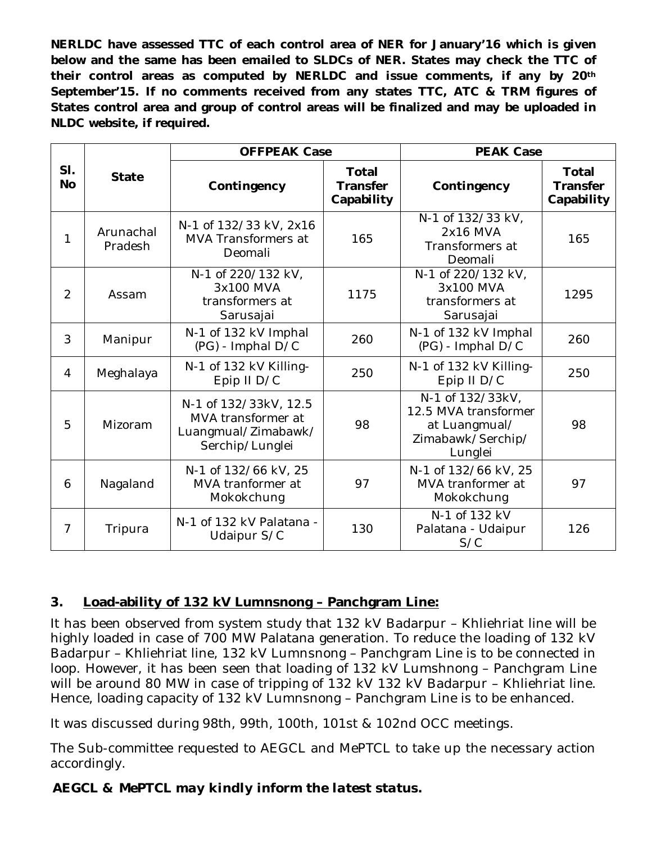**NERLDC have assessed TTC of each control area of NER for January'16 which is given below and the same has been emailed to SLDCs of NER. States may check the TTC of their control areas as computed by NERLDC and issue comments, if any by 20th September'15. If no comments received from any states TTC, ATC & TRM figures of States control area and group of control areas will be finalized and may be uploaded in NLDC website, if required.**

|                  | <b>State</b>         | <b>OFFPEAK Case</b>                                                                   |                                               | <b>PEAK Case</b>                                                                          |                                               |
|------------------|----------------------|---------------------------------------------------------------------------------------|-----------------------------------------------|-------------------------------------------------------------------------------------------|-----------------------------------------------|
| SI.<br><b>No</b> |                      | Contingency                                                                           | <b>Total</b><br><b>Transfer</b><br>Capability | Contingency                                                                               | <b>Total</b><br><b>Transfer</b><br>Capability |
| 1                | Arunachal<br>Pradesh | N-1 of 132/33 kV, 2x16<br>MVA Transformers at<br>Deomali                              | 165                                           | N-1 of 132/33 kV,<br>2x16 MVA<br>Transformers at<br>Deomali                               | 165                                           |
| $\overline{2}$   | Assam                | N-1 of 220/132 kV,<br>3x100 MVA<br>transformers at<br>Sarusajai                       | 1175                                          | N-1 of 220/132 kV,<br>3x100 MVA<br>transformers at<br>Sarusajai                           | 1295                                          |
| 3                | Manipur              | N-1 of 132 kV Imphal<br>(PG) - Imphal D/C                                             | 260                                           | N-1 of 132 kV Imphal<br>(PG) - Imphal D/C                                                 | 260                                           |
| $\overline{4}$   | Meghalaya            | N-1 of 132 kV Killing-<br>Epip II D/C                                                 | 250                                           | N-1 of 132 kV Killing-<br>Epip II D/C                                                     | 250                                           |
| 5                | Mizoram              | N-1 of 132/33kV, 12.5<br>MVA transformer at<br>Luangmual/Zimabawk/<br>Serchip/Lunglei | 98                                            | N-1 of 132/33kV,<br>12.5 MVA transformer<br>at Luangmual/<br>Zimabawk/Serchip/<br>Lunglei | 98                                            |
| 6                | Nagaland             | N-1 of 132/66 kV, 25<br>MVA tranformer at<br>Mokokchung                               | 97                                            | N-1 of 132/66 kV, 25<br>MVA tranformer at<br>Mokokchung                                   | 97                                            |
| $\overline{7}$   | Tripura              | N-1 of 132 kV Palatana -<br>Udaipur S/C                                               | 130                                           | N-1 of 132 kV<br>Palatana - Udaipur<br>S/C                                                | 126                                           |

# **3. Load-ability of 132 kV Lumnsnong – Panchgram Line:**

It has been observed from system study that 132 kV Badarpur – Khliehriat line will be highly loaded in case of 700 MW Palatana generation. To reduce the loading of 132 kV Badarpur – Khliehriat line, 132 kV Lumnsnong – Panchgram Line is to be connected in loop. However, it has been seen that loading of 132 kV Lumshnong – Panchgram Line will be around 80 MW in case of tripping of 132 kV 132 kV Badarpur – Khliehriat line. Hence, loading capacity of 132 kV Lumnsnong – Panchgram Line is to be enhanced.

It was discussed during 98th, 99th, 100th, 101st & 102nd OCC meetings.

The Sub-committee requested to AEGCL and MePTCL to take up the necessary action accordingly.

*AEGCL & MePTCL may kindly inform the latest status.*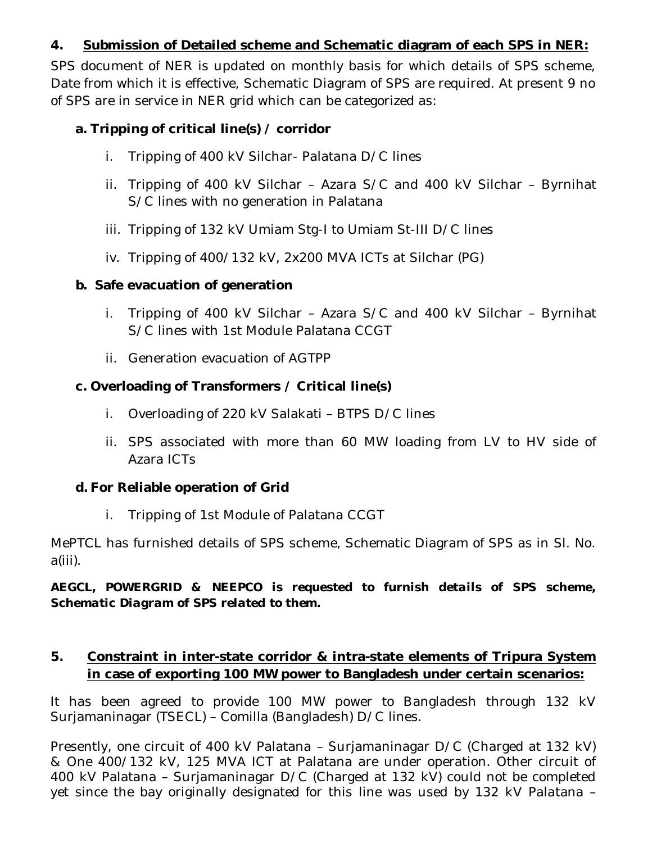## **4. Submission of Detailed scheme and Schematic diagram of each SPS in NER:**

SPS document of NER is updated on monthly basis for which details of SPS scheme, Date from which it is effective, Schematic Diagram of SPS are required. At present 9 no of SPS are in service in NER grid which can be categorized as:

## **a. Tripping of critical line(s) / corridor**

- i. Tripping of 400 kV Silchar- Palatana D/C lines
- ii. Tripping of 400 kV Silchar Azara S/C and 400 kV Silchar Byrnihat S/C lines with no generation in Palatana
- iii. Tripping of 132 kV Umiam Stg-I to Umiam St-III D/C lines
- iv. Tripping of 400/132 kV, 2x200 MVA ICTs at Silchar (PG)

## **b. Safe evacuation of generation**

- i. Tripping of 400 kV Silchar Azara S/C and 400 kV Silchar Byrnihat S/C lines with 1st Module Palatana CCGT
- ii. Generation evacuation of AGTPP

# **c. Overloading of Transformers / Critical line(s)**

- i. Overloading of 220 kV Salakati BTPS D/C lines
- ii. SPS associated with more than 60 MW loading from LV to HV side of Azara ICTs

# **d. For Reliable operation of Grid**

i. Tripping of 1st Module of Palatana CCGT

MePTCL has furnished details of SPS scheme, Schematic Diagram of SPS as in Sl. No. a(iii).

*AEGCL, POWERGRID & NEEPCO is requested to furnish details of SPS scheme, Schematic Diagram of SPS related to them.* 

# **5. Constraint in inter-state corridor & intra-state elements of Tripura System in case of exporting 100 MW power to Bangladesh under certain scenarios:**

It has been agreed to provide 100 MW power to Bangladesh through 132 kV Surjamaninagar (TSECL) – Comilla (Bangladesh) D/C lines.

Presently, one circuit of 400 kV Palatana – Surjamaninagar D/C (Charged at 132 kV) & One 400/132 kV, 125 MVA ICT at Palatana are under operation. Other circuit of 400 kV Palatana – Surjamaninagar D/C (Charged at 132 kV) could not be completed yet since the bay originally designated for this line was used by 132 kV Palatana –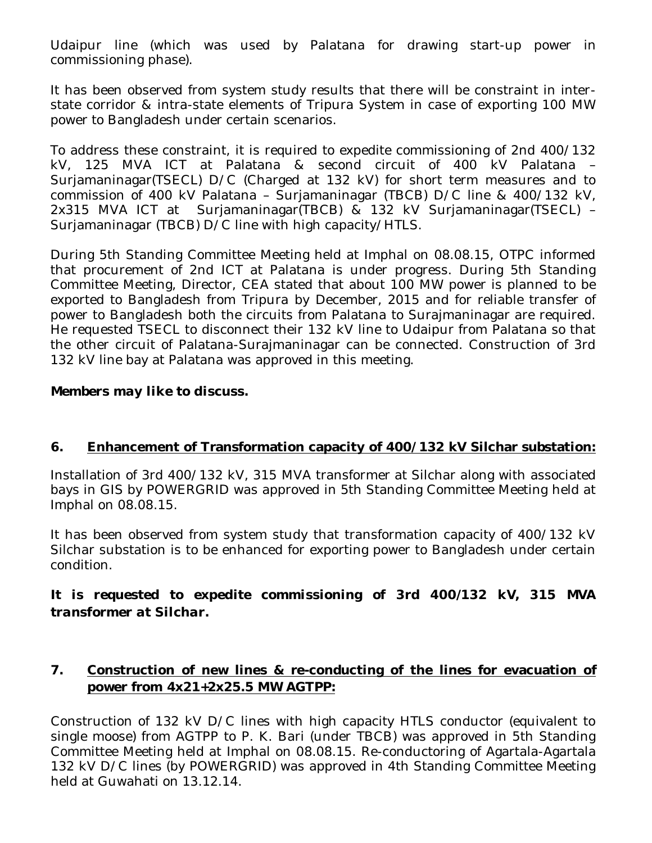Udaipur line (which was used by Palatana for drawing start-up power in commissioning phase).

It has been observed from system study results that there will be constraint in interstate corridor & intra-state elements of Tripura System in case of exporting 100 MW power to Bangladesh under certain scenarios.

To address these constraint, it is required to expedite commissioning of 2nd 400/132 kV, 125 MVA ICT at Palatana & second circuit of 400 kV Palatana – Surjamaninagar(TSECL) D/C (Charged at 132 kV) for short term measures and to commission of 400 kV Palatana – Surjamaninagar (TBCB) D/C line & 400/132 kV, 2x315 MVA ICT at Surjamaninagar(TBCB) & 132 kV Surjamaninagar(TSECL) – Surjamaninagar (TBCB) D/C line with high capacity/HTLS.

During 5th Standing Committee Meeting held at Imphal on 08.08.15, OTPC informed that procurement of 2nd ICT at Palatana is under progress. During 5th Standing Committee Meeting, Director, CEA stated that about 100 MW power is planned to be exported to Bangladesh from Tripura by December, 2015 and for reliable transfer of power to Bangladesh both the circuits from Palatana to Surajmaninagar are required. He requested TSECL to disconnect their 132 kV line to Udaipur from Palatana so that the other circuit of Palatana-Surajmaninagar can be connected. Construction of 3rd 132 kV line bay at Palatana was approved in this meeting.

#### *Members may like to discuss.*

#### **6. Enhancement of Transformation capacity of 400/132 kV Silchar substation:**

Installation of 3rd 400/132 kV, 315 MVA transformer at Silchar along with associated bays in GIS by POWERGRID was approved in 5th Standing Committee Meeting held at Imphal on 08.08.15.

It has been observed from system study that transformation capacity of 400/132 kV Silchar substation is to be enhanced for exporting power to Bangladesh under certain condition.

## *It is requested to expedite commissioning of 3rd 400/132 kV, 315 MVA transformer at Silchar.*

## **7. Construction of new lines & re-conducting of the lines for evacuation of power from 4x21+2x25.5 MW AGTPP:**

Construction of 132 kV D/C lines with high capacity HTLS conductor (equivalent to single moose) from AGTPP to P. K. Bari (under TBCB) was approved in 5th Standing Committee Meeting held at Imphal on 08.08.15. Re-conductoring of Agartala-Agartala 132 kV D/C lines (by POWERGRID) was approved in 4th Standing Committee Meeting held at Guwahati on 13.12.14.